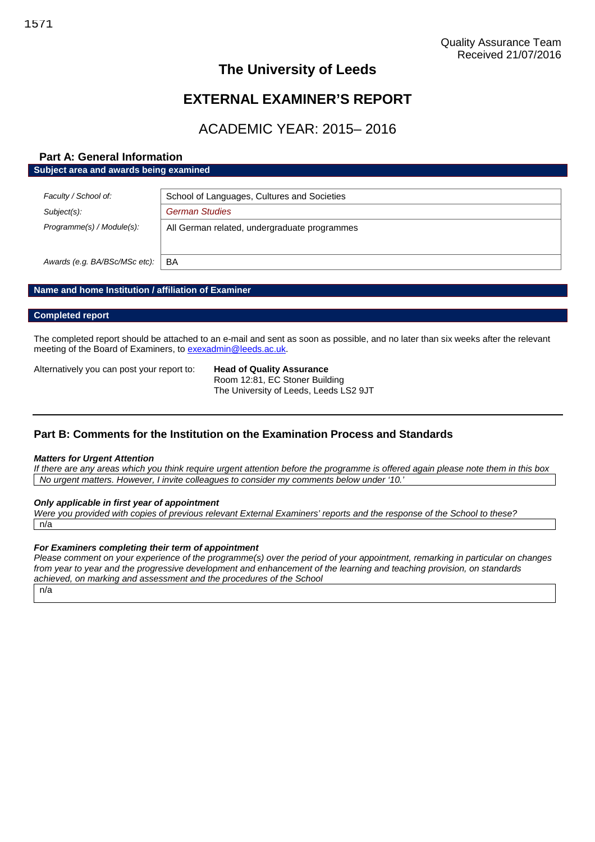# **The University of Leeds**

# **EXTERNAL EXAMINER'S REPORT**

# ACADEMIC YEAR: 2015– 2016

# **Part A: General Information Subject area and awards being examined**

| Faculty / School of:          | School of Languages, Cultures and Societies  |  |
|-------------------------------|----------------------------------------------|--|
| $Subject(s)$ :                | <b>German Studies</b>                        |  |
| Programme(s) / Module(s):     | All German related, undergraduate programmes |  |
| Awards (e.g. BA/BSc/MSc etc): | BA                                           |  |

# **Name and home Institution / affiliation of Examiner**

### **Completed report**

The completed report should be attached to an e-mail and sent as soon as possible, and no later than six weeks after the relevant meeting of the Board of Examiners, to [exexadmin@leeds.ac.uk.](mailto:exexadmin@leeds.ac.uk)

Alternatively you can post your report to: **Head of Quality Assurance**

Room 12:81, EC Stoner Building The University of Leeds, Leeds LS2 9JT

# **Part B: Comments for the Institution on the Examination Process and Standards**

### *Matters for Urgent Attention*

*If there are any areas which you think require urgent attention before the programme is offered again please note them in this box No urgent matters. However, I invite colleagues to consider my comments below under '10.'*

### *Only applicable in first year of appointment*

*Were you provided with copies of previous relevant External Examiners' reports and the response of the School to these?* n/a

### *For Examiners completing their term of appointment*

*Please comment on your experience of the programme(s) over the period of your appointment, remarking in particular on changes from year to year and the progressive development and enhancement of the learning and teaching provision, on standards achieved, on marking and assessment and the procedures of the School*

n/a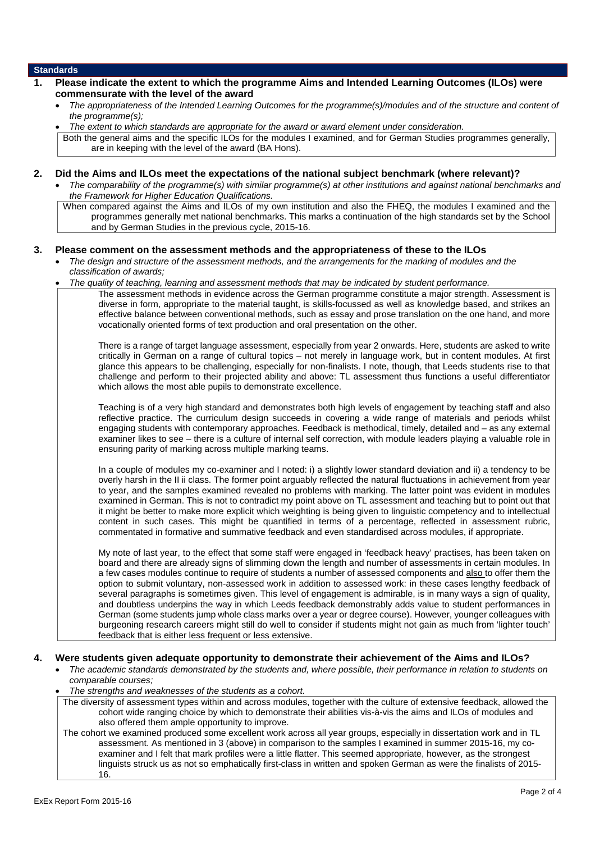### **Standards**

| Please indicate the extent to which the programme Aims and Intended Learning Outcomes (ILOs) were<br>commensurate with the level of the award                                                                                                                                                                                                                                                                                                                                                                                                                                                                                                                                                                                                                                                                                                                                                                                                                                                                |
|--------------------------------------------------------------------------------------------------------------------------------------------------------------------------------------------------------------------------------------------------------------------------------------------------------------------------------------------------------------------------------------------------------------------------------------------------------------------------------------------------------------------------------------------------------------------------------------------------------------------------------------------------------------------------------------------------------------------------------------------------------------------------------------------------------------------------------------------------------------------------------------------------------------------------------------------------------------------------------------------------------------|
| The appropriateness of the Intended Learning Outcomes for the programme(s)/modules and of the structure and content of<br>the programme(s);                                                                                                                                                                                                                                                                                                                                                                                                                                                                                                                                                                                                                                                                                                                                                                                                                                                                  |
| The extent to which standards are appropriate for the award or award element under consideration.                                                                                                                                                                                                                                                                                                                                                                                                                                                                                                                                                                                                                                                                                                                                                                                                                                                                                                            |
| Both the general aims and the specific ILOs for the modules I examined, and for German Studies programmes generally,<br>are in keeping with the level of the award (BA Hons).                                                                                                                                                                                                                                                                                                                                                                                                                                                                                                                                                                                                                                                                                                                                                                                                                                |
| Did the Aims and ILOs meet the expectations of the national subject benchmark (where relevant)?<br>The comparability of the programme(s) with similar programme(s) at other institutions and against national benchmarks and<br>the Framework for Higher Education Qualifications.                                                                                                                                                                                                                                                                                                                                                                                                                                                                                                                                                                                                                                                                                                                           |
| When compared against the Aims and ILOs of my own institution and also the FHEQ, the modules I examined and the<br>programmes generally met national benchmarks. This marks a continuation of the high standards set by the School<br>and by German Studies in the previous cycle, 2015-16.                                                                                                                                                                                                                                                                                                                                                                                                                                                                                                                                                                                                                                                                                                                  |
| Please comment on the assessment methods and the appropriateness of these to the ILOs<br>The design and structure of the assessment methods, and the arrangements for the marking of modules and the<br>classification of awards;                                                                                                                                                                                                                                                                                                                                                                                                                                                                                                                                                                                                                                                                                                                                                                            |
| The quality of teaching, learning and assessment methods that may be indicated by student performance.                                                                                                                                                                                                                                                                                                                                                                                                                                                                                                                                                                                                                                                                                                                                                                                                                                                                                                       |
| The assessment methods in evidence across the German programme constitute a major strength. Assessment is<br>diverse in form, appropriate to the material taught, is skills-focussed as well as knowledge based, and strikes an<br>effective balance between conventional methods, such as essay and prose translation on the one hand, and more<br>vocationally oriented forms of text production and oral presentation on the other.                                                                                                                                                                                                                                                                                                                                                                                                                                                                                                                                                                       |
| There is a range of target language assessment, especially from year 2 onwards. Here, students are asked to write<br>critically in German on a range of cultural topics - not merely in language work, but in content modules. At first<br>glance this appears to be challenging, especially for non-finalists. I note, though, that Leeds students rise to that<br>challenge and perform to their projected ability and above: TL assessment thus functions a useful differentiator<br>which allows the most able pupils to demonstrate excellence.                                                                                                                                                                                                                                                                                                                                                                                                                                                         |
| Teaching is of a very high standard and demonstrates both high levels of engagement by teaching staff and also<br>reflective practice. The curriculum design succeeds in covering a wide range of materials and periods whilst<br>engaging students with contemporary approaches. Feedback is methodical, timely, detailed and - as any external<br>examiner likes to see - there is a culture of internal self correction, with module leaders playing a valuable role in<br>ensuring parity of marking across multiple marking teams.                                                                                                                                                                                                                                                                                                                                                                                                                                                                      |
| In a couple of modules my co-examiner and I noted: i) a slightly lower standard deviation and ii) a tendency to be<br>overly harsh in the II ii class. The former point arguably reflected the natural fluctuations in achievement from year<br>to year, and the samples examined revealed no problems with marking. The latter point was evident in modules<br>examined in German. This is not to contradict my point above on TL assessment and teaching but to point out that<br>it might be better to make more explicit which weighting is being given to linguistic competency and to intellectual<br>content in such cases. This might be quantified in terms of a percentage, reflected in assessment rubric,<br>commentated in formative and summative feedback and even standardised across modules, if appropriate.                                                                                                                                                                               |
| My note of last year, to the effect that some staff were engaged in 'feedback heavy' practises, has been taken on<br>board and there are already signs of slimming down the length and number of assessments in certain modules. In<br>a few cases modules continue to require of students a number of assessed components and also to offer them the<br>option to submit voluntary, non-assessed work in addition to assessed work: in these cases lengthy feedback of<br>several paragraphs is sometimes given. This level of engagement is admirable, is in many ways a sign of quality,<br>and doubtless underpins the way in which Leeds feedback demonstrably adds value to student performances in<br>German (some students jump whole class marks over a year or degree course). However, younger colleagues with<br>burgeoning research careers might still do well to consider if students might not gain as much from 'lighter touch'<br>feedback that is either less frequent or less extensive. |

### **4. Were students given adequate opportunity to demonstrate their achievement of the Aims and ILOs?**

- *The academic standards demonstrated by the students and, where possible, their performance in relation to students on comparable courses;*
- *The strengths and weaknesses of the students as a cohort.*
- The diversity of assessment types within and across modules, together with the culture of extensive feedback, allowed the cohort wide ranging choice by which to demonstrate their abilities vis-à-vis the aims and ILOs of modules and also offered them ample opportunity to improve.
- The cohort we examined produced some excellent work across all year groups, especially in dissertation work and in TL assessment. As mentioned in 3 (above) in comparison to the samples I examined in summer 2015-16, my coexaminer and I felt that mark profiles were a little flatter. This seemed appropriate, however, as the strongest linguists struck us as not so emphatically first-class in written and spoken German as were the finalists of 2015- 16.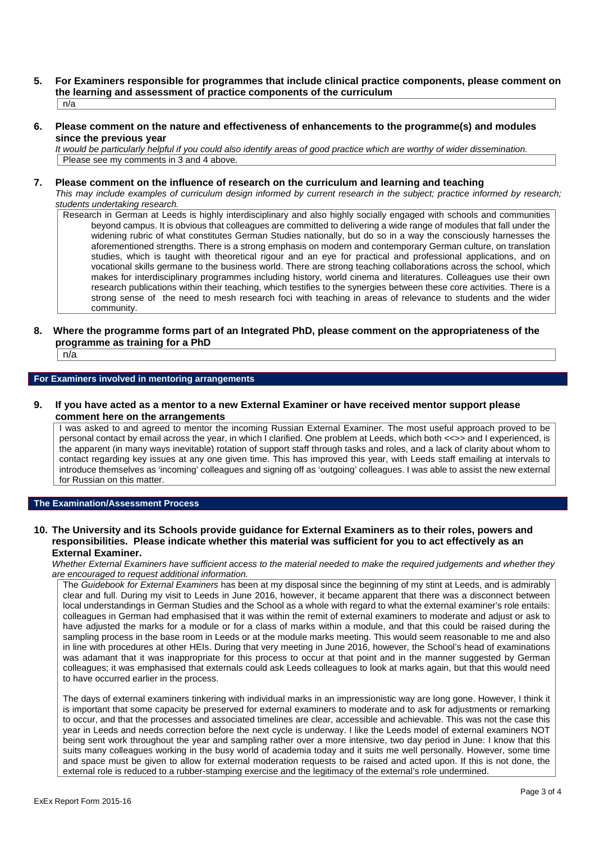**5. For Examiners responsible for programmes that include clinical practice components, please comment on the learning and assessment of practice components of the curriculum**

n/a

**6. Please comment on the nature and effectiveness of enhancements to the programme(s) and modules since the previous year**

*It would be particularly helpful if you could also identify areas of good practice which are worthy of wider dissemination.* Please see my comments in 3 and 4 above.

### **7. Please comment on the influence of research on the curriculum and learning and teaching**

*This may include examples of curriculum design informed by current research in the subject; practice informed by research; students undertaking research.*

Research in German at Leeds is highly interdisciplinary and also highly socially engaged with schools and communities beyond campus. It is obvious that colleagues are committed to delivering a wide range of modules that fall under the widening rubric of what constitutes German Studies nationally, but do so in a way the consciously harnesses the aforementioned strengths. There is a strong emphasis on modern and contemporary German culture, on translation studies, which is taught with theoretical rigour and an eye for practical and professional applications, and on vocational skills germane to the business world. There are strong teaching collaborations across the school, which makes for interdisciplinary programmes including history, world cinema and literatures. Colleagues use their own research publications within their teaching, which testifies to the synergies between these core activities. There is a strong sense of the need to mesh research foci with teaching in areas of relevance to students and the wider community.

### **8. Where the programme forms part of an Integrated PhD, please comment on the appropriateness of the programme as training for a PhD**

n/a

### **For Examiners involved in mentoring arrangements**

### **9. If you have acted as a mentor to a new External Examiner or have received mentor support please comment here on the arrangements**

I was asked to and agreed to mentor the incoming Russian External Examiner. The most useful approach proved to be personal contact by email across the year, in which I clarified. One problem at Leeds, which both <<>> and I experienced, is the apparent (in many ways inevitable) rotation of support staff through tasks and roles, and a lack of clarity about whom to contact regarding key issues at any one given time. This has improved this year, with Leeds staff emailing at intervals to introduce themselves as 'incoming' colleagues and signing off as 'outgoing' colleagues. I was able to assist the new external for Russian on this matter.

# **The Examination/Assessment Process**

### **10. The University and its Schools provide guidance for External Examiners as to their roles, powers and responsibilities. Please indicate whether this material was sufficient for you to act effectively as an External Examiner.**

*Whether External Examiners have sufficient access to the material needed to make the required judgements and whether they are encouraged to request additional information.*

The *Guidebook for External Examiners* has been at my disposal since the beginning of my stint at Leeds, and is admirably clear and full. During my visit to Leeds in June 2016, however, it became apparent that there was a disconnect between local understandings in German Studies and the School as a whole with regard to what the external examiner's role entails: colleagues in German had emphasised that it was within the remit of external examiners to moderate and adjust or ask to have adjusted the marks for a module or for a class of marks within a module, and that this could be raised during the sampling process in the base room in Leeds or at the module marks meeting. This would seem reasonable to me and also in line with procedures at other HEIs. During that very meeting in June 2016, however, the School's head of examinations was adamant that it was inappropriate for this process to occur at that point and in the manner suggested by German colleagues; it was emphasised that externals could ask Leeds colleagues to look at marks again, but that this would need to have occurred earlier in the process.

The days of external examiners tinkering with individual marks in an impressionistic way are long gone. However, I think it is important that some capacity be preserved for external examiners to moderate and to ask for adjustments or remarking to occur, and that the processes and associated timelines are clear, accessible and achievable. This was not the case this year in Leeds and needs correction before the next cycle is underway. I like the Leeds model of external examiners NOT being sent work throughout the year and sampling rather over a more intensive, two day period in June: I know that this suits many colleagues working in the busy world of academia today and it suits me well personally. However, some time and space must be given to allow for external moderation requests to be raised and acted upon. If this is not done, the external role is reduced to a rubber-stamping exercise and the legitimacy of the external's role undermined.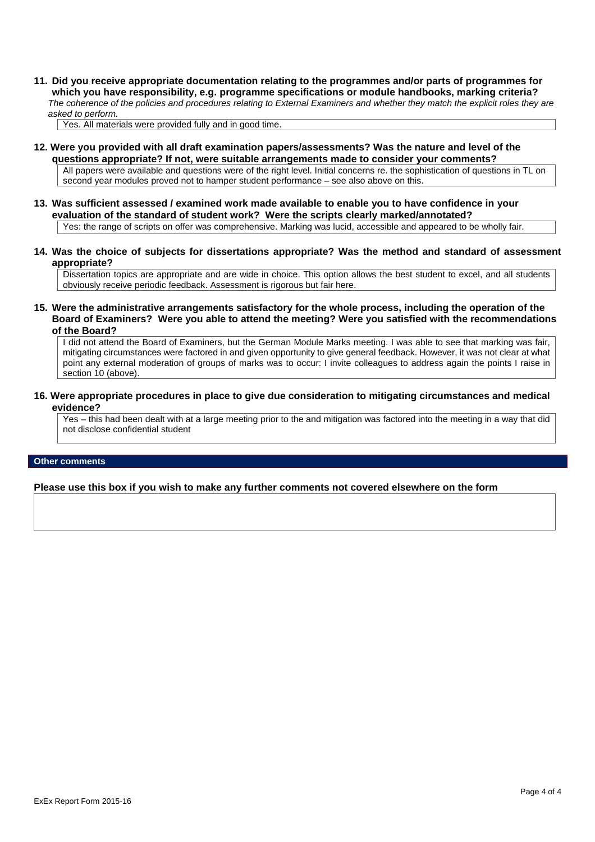**11. Did you receive appropriate documentation relating to the programmes and/or parts of programmes for which you have responsibility, e.g. programme specifications or module handbooks, marking criteria?** *The coherence of the policies and procedures relating to External Examiners and whether they match the explicit roles they are asked to perform.*

Yes. All materials were provided fully and in good time.

- **12. Were you provided with all draft examination papers/assessments? Was the nature and level of the questions appropriate? If not, were suitable arrangements made to consider your comments?** All papers were available and questions were of the right level. Initial concerns re. the sophistication of questions in TL on second year modules proved not to hamper student performance – see also above on this.
- **13. Was sufficient assessed / examined work made available to enable you to have confidence in your evaluation of the standard of student work? Were the scripts clearly marked/annotated?** Yes: the range of scripts on offer was comprehensive. Marking was lucid, accessible and appeared to be wholly fair.
- **14. Was the choice of subjects for dissertations appropriate? Was the method and standard of assessment appropriate?**

Dissertation topics are appropriate and are wide in choice. This option allows the best student to excel, and all students obviously receive periodic feedback. Assessment is rigorous but fair here.

**15. Were the administrative arrangements satisfactory for the whole process, including the operation of the Board of Examiners? Were you able to attend the meeting? Were you satisfied with the recommendations of the Board?**

I did not attend the Board of Examiners, but the German Module Marks meeting. I was able to see that marking was fair, mitigating circumstances were factored in and given opportunity to give general feedback. However, it was not clear at what point any external moderation of groups of marks was to occur: I invite colleagues to address again the points I raise in section 10 (above).

**16. Were appropriate procedures in place to give due consideration to mitigating circumstances and medical evidence?**

Yes – this had been dealt with at a large meeting prior to the and mitigation was factored into the meeting in a way that did not disclose confidential student

### **Other comments**

**Please use this box if you wish to make any further comments not covered elsewhere on the form**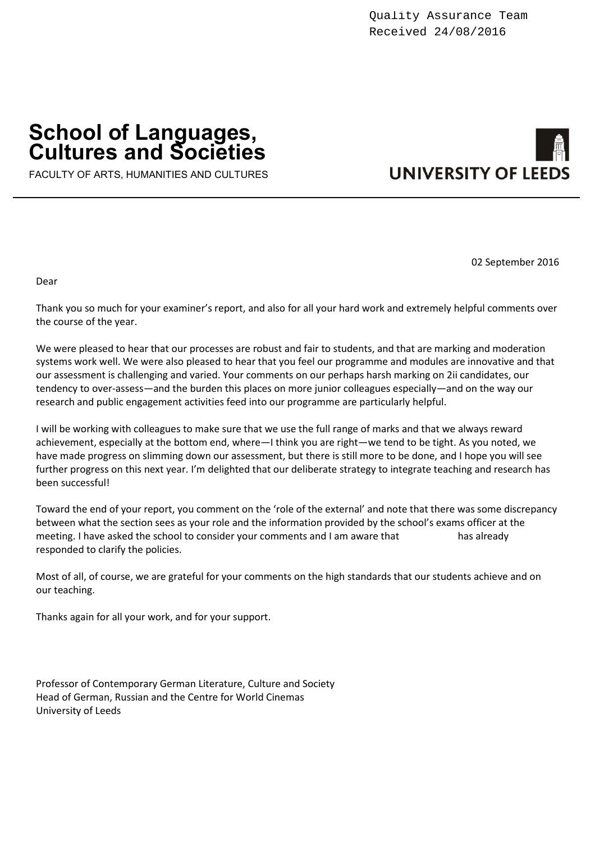# **School of Languages, Cultures and Societies**



FACULTY OF ARTS, HUMANITIES AND CULTURES

02 September 2016

Dear

Thank you so much for your examiner's report, and also for all your hard work and extremely helpful comments over the course of the year.

We were pleased to hear that our processes are robust and fair to students, and that are marking and moderation systems work well. We were also pleased to hear that you feel our programme and modules are innovative and that our assessment is challenging and varied. Your comments on our perhaps harsh marking on 2ii candidates, our tendency to over-assess—and the burden this places on more junior colleagues especially—and on the way our research and public engagement activities feed into our programme are particularly helpful.

I will be working with colleagues to make sure that we use the full range of marks and that we always reward achievement, especially at the bottom end, where—I think you are right—we tend to be tight. As you noted, we have made progress on slimming down our assessment, but there is still more to be done, and I hope you will see further progress on this next year. I'm delighted that our deliberate strategy to integrate teaching and research has been successful!

Toward the end of your report, you comment on the 'role of the external' and note that there was some discrepancy between what the section sees as your role and the information provided by the school's exams officer at the meeting. I have asked the school to consider your comments and I am aware that has already responded to clarify the policies.

Most of all, of course, we are grateful for your comments on the high standards that our students achieve and on our teaching.

Thanks again for all your work, and for your support.

Professor of Contemporary German Literature, Culture and Society Head of German, Russian and the Centre for World Cinemas University of Leeds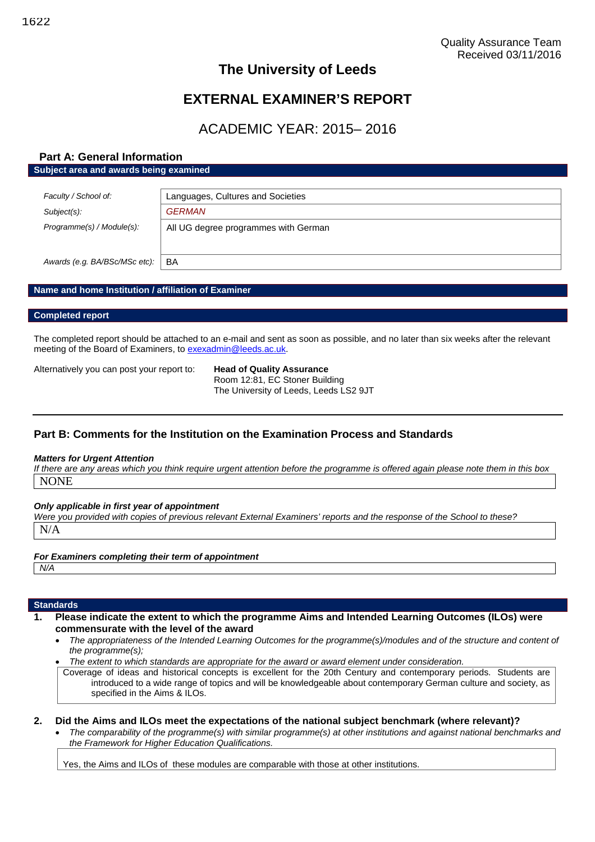# **The University of Leeds**

# **EXTERNAL EXAMINER'S REPORT**

# ACADEMIC YEAR: 2015– 2016

# **Part A: General Information Subject area and awards being examined**

| Faculty / School of:          | Languages, Cultures and Societies    |  |
|-------------------------------|--------------------------------------|--|
| Subject(s):                   | <b>GERMAN</b>                        |  |
| Programme(s) / Module(s):     | All UG degree programmes with German |  |
| Awards (e.g. BA/BSc/MSc etc): | BA                                   |  |

# **Name and home Institution / affiliation of Examiner**

### **Completed report**

The completed report should be attached to an e-mail and sent as soon as possible, and no later than six weeks after the relevant meeting of the Board of Examiners, to [exexadmin@leeds.ac.uk.](mailto:exexadmin@leeds.ac.uk)

Alternatively you can post your report to: **Head of Quality Assurance**

Room 12:81, EC Stoner Building The University of Leeds, Leeds LS2 9JT

# **Part B: Comments for the Institution on the Examination Process and Standards**

### *Matters for Urgent Attention*

*If there are any areas which you think require urgent attention before the programme is offered again please note them in this box* NONE

### *Only applicable in first year of appointment*

*Were you provided with copies of previous relevant External Examiners' reports and the response of the School to these?* N/A

# *For Examiners completing their term of appointment*

```
N/A
```
# **Standards**

- **1. Please indicate the extent to which the programme Aims and Intended Learning Outcomes (ILOs) were commensurate with the level of the award**
	- *The appropriateness of the Intended Learning Outcomes for the programme(s)/modules and of the structure and content of the programme(s);*
	- *The extent to which standards are appropriate for the award or award element under consideration.*

Coverage of ideas and historical concepts is excellent for the 20th Century and contemporary periods. Students are introduced to a wide range of topics and will be knowledgeable about contemporary German culture and society, as specified in the Aims & ILOs.

### **2. Did the Aims and ILOs meet the expectations of the national subject benchmark (where relevant)?**

 *The comparability of the programme(s) with similar programme(s) at other institutions and against national benchmarks and the Framework for Higher Education Qualifications.*

Yes, the Aims and ILOs of these modules are comparable with those at other institutions.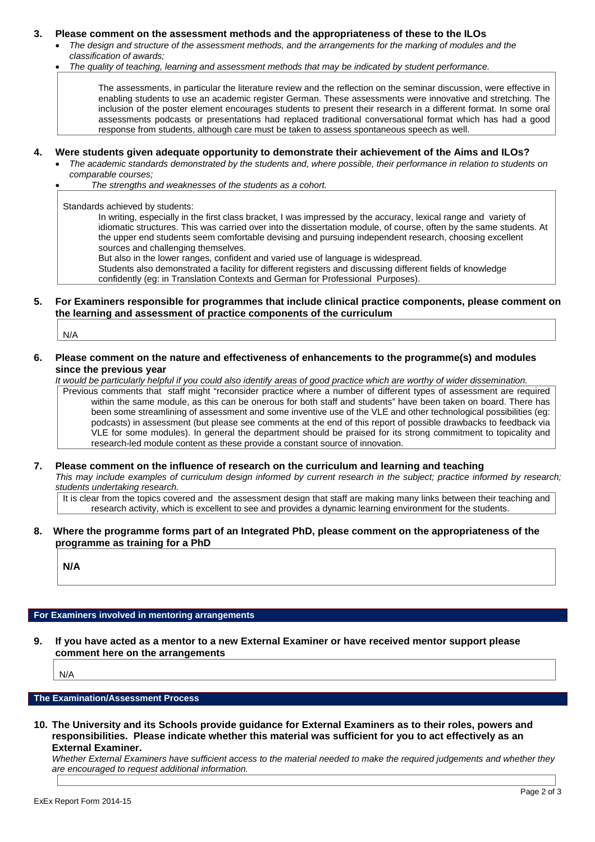### **3. Please comment on the assessment methods and the appropriateness of these to the ILOs**

- *The design and structure of the assessment methods, and the arrangements for the marking of modules and the classification of awards;*
	- *The quality of teaching, learning and assessment methods that may be indicated by student performance.*

The assessments, in particular the literature review and the reflection on the seminar discussion, were effective in enabling students to use an academic register German. These assessments were innovative and stretching. The inclusion of the poster element encourages students to present their research in a different format. In some oral assessments podcasts or presentations had replaced traditional conversational format which has had a good response from students, although care must be taken to assess spontaneous speech as well.

# **4. Were students given adequate opportunity to demonstrate their achievement of the Aims and ILOs?**

- *The academic standards demonstrated by the students and, where possible, their performance in relation to students on comparable courses;*
	- *The strengths and weaknesses of the students as a cohort.*

Standards achieved by students:

In writing, especially in the first class bracket, I was impressed by the accuracy, lexical range and variety of idiomatic structures. This was carried over into the dissertation module, of course, often by the same students. At the upper end students seem comfortable devising and pursuing independent research, choosing excellent sources and challenging themselves.

But also in the lower ranges, confident and varied use of language is widespread.

Students also demonstrated a facility for different registers and discussing different fields of knowledge confidently (eg: in Translation Contexts and German for Professional Purposes).

### **5. For Examiners responsible for programmes that include clinical practice components, please comment on the learning and assessment of practice components of the curriculum**

N/A

**6. Please comment on the nature and effectiveness of enhancements to the programme(s) and modules since the previous year**

*It would be particularly helpful if you could also identify areas of good practice which are worthy of wider dissemination.* Previous comments that staff might "reconsider practice where a number of different types of assessment are required within the same module, as this can be onerous for both staff and students" have been taken on board. There has been some streamlining of assessment and some inventive use of the VLE and other technological possibilities (eg: podcasts) in assessment (but please see comments at the end of this report of possible drawbacks to feedback via VLE for some modules). In general the department should be praised for its strong commitment to topicality and research-led module content as these provide a constant source of innovation.

**7. Please comment on the influence of research on the curriculum and learning and teaching** *This may include examples of curriculum design informed by current research in the subject; practice informed by research; students undertaking research.*

It is clear from the topics covered and the assessment design that staff are making many links between their teaching and research activity, which is excellent to see and provides a dynamic learning environment for the students.

**8. Where the programme forms part of an Integrated PhD, please comment on the appropriateness of the programme as training for a PhD**

**N/A**

### **For Examiners involved in mentoring arrangements**

**9. If you have acted as a mentor to a new External Examiner or have received mentor support please comment here on the arrangements**

N/A

### **The Examination/Assessment Process**

**10. The University and its Schools provide guidance for External Examiners as to their roles, powers and responsibilities. Please indicate whether this material was sufficient for you to act effectively as an External Examiner.**

*Whether External Examiners have sufficient access to the material needed to make the required judgements and whether they are encouraged to request additional information.*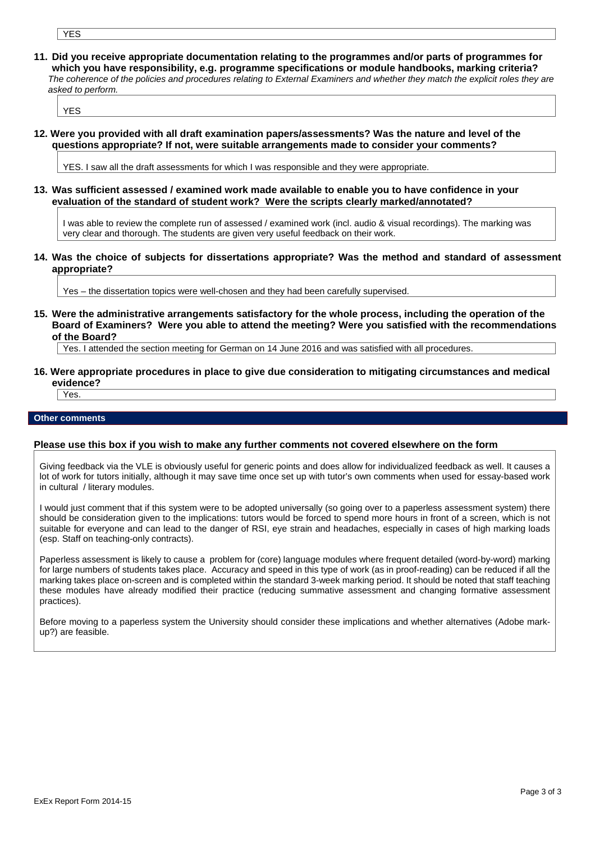- YES
- **11. Did you receive appropriate documentation relating to the programmes and/or parts of programmes for which you have responsibility, e.g. programme specifications or module handbooks, marking criteria?** *The coherence of the policies and procedures relating to External Examiners and whether they match the explicit roles they are asked to perform.*

YES

**12. Were you provided with all draft examination papers/assessments? Was the nature and level of the questions appropriate? If not, were suitable arrangements made to consider your comments?**

YES. I saw all the draft assessments for which I was responsible and they were appropriate.

**13. Was sufficient assessed / examined work made available to enable you to have confidence in your evaluation of the standard of student work? Were the scripts clearly marked/annotated?**

I was able to review the complete run of assessed / examined work (incl. audio & visual recordings). The marking was very clear and thorough. The students are given very useful feedback on their work.

**14. Was the choice of subjects for dissertations appropriate? Was the method and standard of assessment appropriate?**

Yes – the dissertation topics were well-chosen and they had been carefully supervised.

**15. Were the administrative arrangements satisfactory for the whole process, including the operation of the Board of Examiners? Were you able to attend the meeting? Were you satisfied with the recommendations of the Board?**

Yes. I attended the section meeting for German on 14 June 2016 and was satisfied with all procedures.

**16. Were appropriate procedures in place to give due consideration to mitigating circumstances and medical evidence?**

Yes.

#### **Other comments**

### **Please use this box if you wish to make any further comments not covered elsewhere on the form**

Giving feedback via the VLE is obviously useful for generic points and does allow for individualized feedback as well. It causes a lot of work for tutors initially, although it may save time once set up with tutor's own comments when used for essay-based work in cultural / literary modules.

I would just comment that if this system were to be adopted universally (so going over to a paperless assessment system) there should be consideration given to the implications: tutors would be forced to spend more hours in front of a screen, which is not suitable for everyone and can lead to the danger of RSI, eye strain and headaches, especially in cases of high marking loads (esp. Staff on teaching-only contracts).

Paperless assessment is likely to cause a problem for (core) language modules where frequent detailed (word-by-word) marking for large numbers of students takes place. Accuracy and speed in this type of work (as in proof-reading) can be reduced if all the marking takes place on-screen and is completed within the standard 3-week marking period. It should be noted that staff teaching these modules have already modified their practice (reducing summative assessment and changing formative assessment practices).

Before moving to a paperless system the University should consider these implications and whether alternatives (Adobe markup?) are feasible.